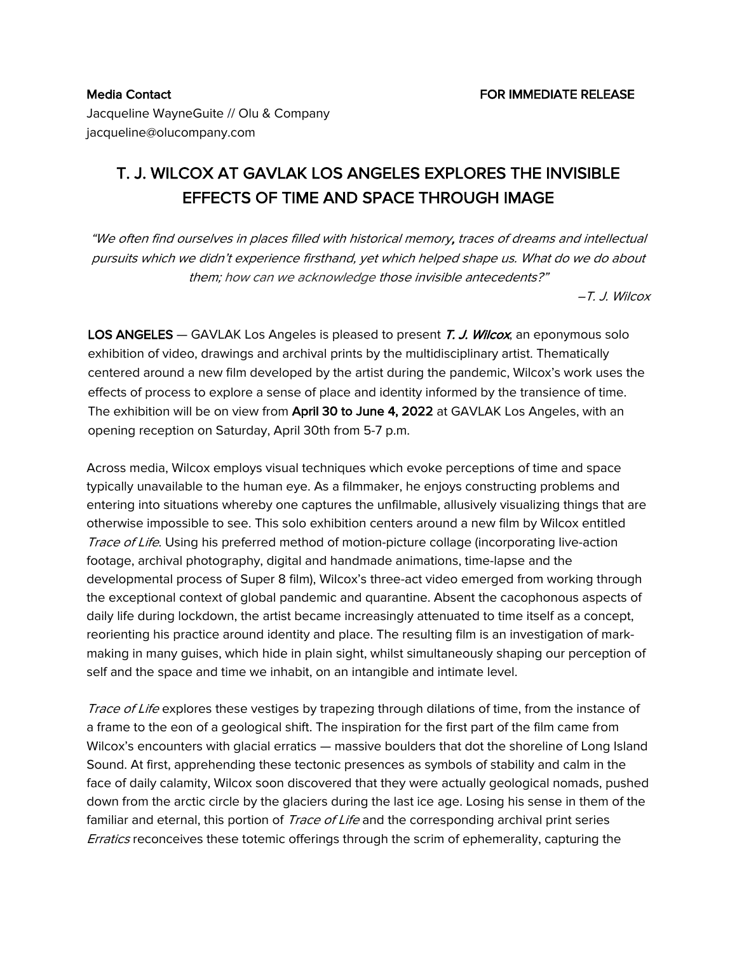Jacqueline WayneGuite // Olu & Company jacqueline@olucompany.com

## T. J. WILCOX AT GAVLAK LOS ANGELES EXPLORES THE INVISIBLE EFFECTS OF TIME AND SPACE THROUGH IMAGE

"We often find ourselves in places filled with historical memory, traces of dreams and intellectual pursuits which we didn't experience firsthand, yet which helped shape us. What do we do about them; how can we acknowledge those invisible antecedents?"

–T. J. Wilcox

LOS ANGELES – GAVLAK Los Angeles is pleased to present T. J. Wilcox, an eponymous solo exhibition of video, drawings and archival prints by the multidisciplinary artist. Thematically centered around a new film developed by the artist during the pandemic, Wilcox's work uses the effects of process to explore a sense of place and identity informed by the transience of time. The exhibition will be on view from April 30 to June 4, 2022 at GAVLAK Los Angeles, with an opening reception on Saturday, April 30th from 5-7 p.m.

Across media, Wilcox employs visual techniques which evoke perceptions of time and space typically unavailable to the human eye. As a filmmaker, he enjoys constructing problems and entering into situations whereby one captures the unfilmable, allusively visualizing things that are otherwise impossible to see. This solo exhibition centers around a new film by Wilcox entitled Trace of Life. Using his preferred method of motion-picture collage (incorporating live-action footage, archival photography, digital and handmade animations, time-lapse and the developmental process of Super 8 film), Wilcox's three-act video emerged from working through the exceptional context of global pandemic and quarantine. Absent the cacophonous aspects of daily life during lockdown, the artist became increasingly attenuated to time itself as a concept, reorienting his practice around identity and place. The resulting film is an investigation of markmaking in many guises, which hide in plain sight, whilst simultaneously shaping our perception of self and the space and time we inhabit, on an intangible and intimate level.

Trace of Life explores these vestiges by trapezing through dilations of time, from the instance of a frame to the eon of a geological shift. The inspiration for the first part of the film came from Wilcox's encounters with glacial erratics — massive boulders that dot the shoreline of Long Island Sound. At first, apprehending these tectonic presences as symbols of stability and calm in the face of daily calamity, Wilcox soon discovered that they were actually geological nomads, pushed down from the arctic circle by the glaciers during the last ice age. Losing his sense in them of the familiar and eternal, this portion of Trace of Life and the corresponding archival print series *Erratics* reconceives these totemic offerings through the scrim of ephemerality, capturing the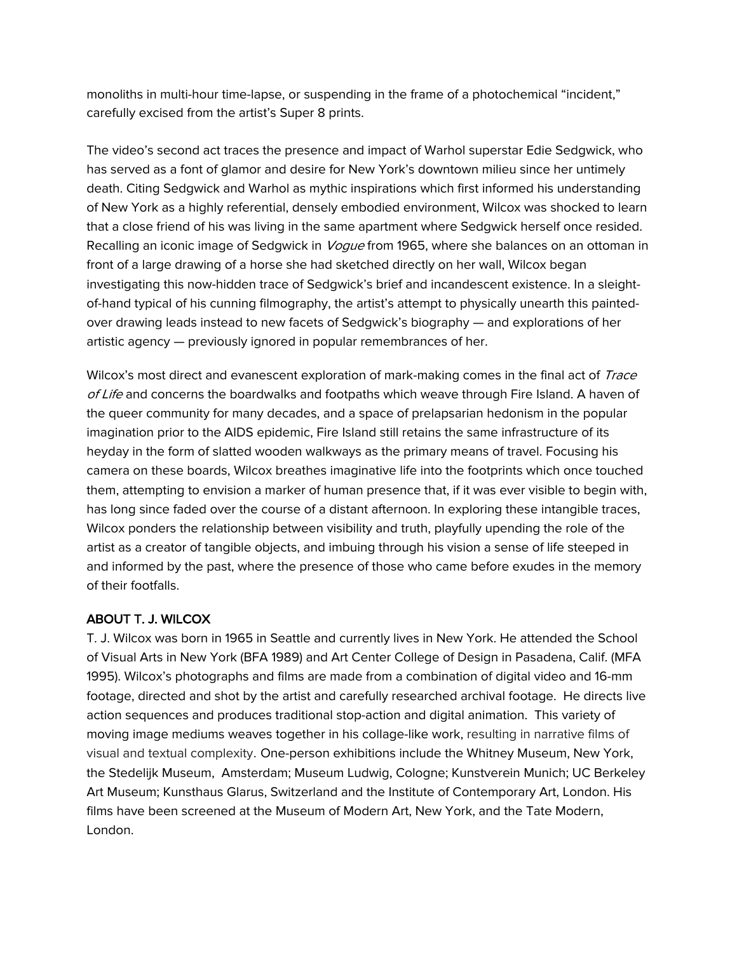monoliths in multi-hour time-lapse, or suspending in the frame of a photochemical "incident," carefully excised from the artist's Super 8 prints.

The video's second act traces the presence and impact of Warhol superstar Edie Sedgwick, who has served as a font of glamor and desire for New York's downtown milieu since her untimely death. Citing Sedgwick and Warhol as mythic inspirations which first informed his understanding of New York as a highly referential, densely embodied environment, Wilcox was shocked to learn that a close friend of his was living in the same apartment where Sedgwick herself once resided. Recalling an iconic image of Sedgwick in *Vogue* from 1965, where she balances on an ottoman in front of a large drawing of a horse she had sketched directly on her wall, Wilcox began investigating this now-hidden trace of Sedgwick's brief and incandescent existence. In a sleightof-hand typical of his cunning filmography, the artist's attempt to physically unearth this paintedover drawing leads instead to new facets of Sedgwick's biography — and explorations of her artistic agency — previously ignored in popular remembrances of her.

Wilcox's most direct and evanescent exploration of mark-making comes in the final act of Trace  $of$  Life and concerns the boardwalks and footpaths which weave through Fire Island. A haven of the queer community for many decades, and a space of prelapsarian hedonism in the popular imagination prior to the AIDS epidemic, Fire Island still retains the same infrastructure of its heyday in the form of slatted wooden walkways as the primary means of travel. Focusing his camera on these boards, Wilcox breathes imaginative life into the footprints which once touched them, attempting to envision a marker of human presence that, if it was ever visible to begin with, has long since faded over the course of a distant afternoon. In exploring these intangible traces, Wilcox ponders the relationship between visibility and truth, playfully upending the role of the artist as a creator of tangible objects, and imbuing through his vision a sense of life steeped in and informed by the past, where the presence of those who came before exudes in the memory of their footfalls.

## ABOUT T. J. WILCOX

T. J. Wilcox was born in 1965 in Seattle and currently lives in New York. He attended the School of Visual Arts in New York (BFA 1989) and Art Center College of Design in Pasadena, Calif. (MFA 1995). Wilcox's photographs and films are made from a combination of digital video and 16-mm footage, directed and shot by the artist and carefully researched archival footage. He directs live action sequences and produces traditional stop-action and digital animation. This variety of moving image mediums weaves together in his collage-like work, resulting in narrative films of visual and textual complexity. One-person exhibitions include the Whitney Museum, New York, the Stedelijk Museum, Amsterdam; Museum Ludwig, Cologne; Kunstverein Munich; UC Berkeley Art Museum; Kunsthaus Glarus, Switzerland and the Institute of Contemporary Art, London. His films have been screened at the Museum of Modern Art, New York, and the Tate Modern, London.